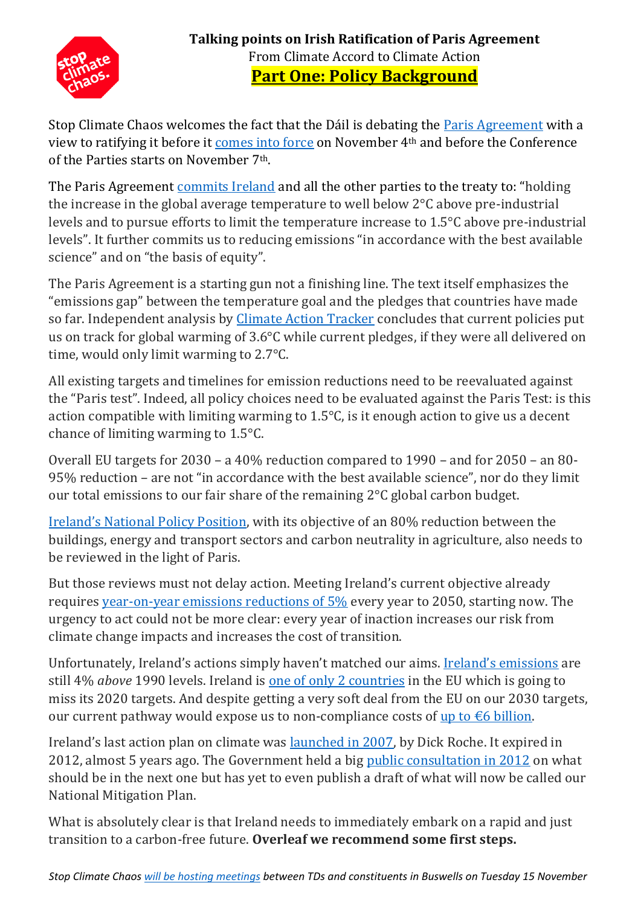

Stop Climate Chaos welcomes the fact that the Dáil is debating the [Paris Agreement](http://unfccc.int/paris_agreement/items/9485.php) with a view to ratifying it before it [comes into force](http://www.un.org/sustainabledevelopment/blog/2016/10/paris-climate-agreement-to-enter-into-force-on-4-november/) on November 4th and before the Conference of the Parties starts on November 7th.

The Paris Agreement [commits Ireland](http://www.foe.ie/imglibrary/2016/10/201610270742501.png) and all the other parties to the treaty to: "holding" the increase in the global average temperature to well below 2°C above pre-industrial levels and to pursue efforts to limit the temperature increase to 1.5°C above pre-industrial levels". It further commits us to reducing emissions "in accordance with the best available science" and on "the basis of equity".

The Paris Agreement is a starting gun not a finishing line. The text itself emphasizes the "emissions gap" between the temperature goal and the pledges that countries have made so far. Independent analysis by [Climate Action Tracker](http://www.climateactiontracker.org/) concludes that current policies put us on track for global warming of 3.6°C while current pledges, if they were all delivered on time, would only limit warming to 2.7°C.

All existing targets and timelines for emission reductions need to be reevaluated against the "Paris test". Indeed, all policy choices need to be evaluated against the Paris Test: is this action compatible with limiting warming to  $1.5^{\circ}$ C, is it enough action to give us a decent chance of limiting warming to 1.5°C.

Overall EU targets for 2030 – a 40% reduction compared to 1990 – and for 2050 – an 80- 95% reduction – are not "in accordance with the best available science", nor do they limit our total emissions to our fair share of the remaining 2°C global carbon budget.

[Ireland's National Policy Position](http://www.housing.gov.ie/sites/default/files/migrated-files/en/Publications/Environment/Atmosphere/FileDownLoad,37827,en.pdf), with its objective of an 80% reduction between the buildings, energy and transport sectors and carbon neutrality in agriculture, also needs to be reviewed in the light of Paris.

But those reviews must not delay action. Meeting Ireland's current objective already requires [year-on-year emissions reductions of 5%](http://www.antaisce.org/articles/is-irelands-climate-policy-credible-video-quickfire-slideshow) every year to 2050, starting now. The urgency to act could not be more clear: every year of inaction increases our risk from climate change impacts and increases the cost of transition.

Unfortunately, Ireland's actions simply haven't matched our aims. **[Ireland's emissions](http://www.epa.ie/pubs/reports/air/airemissions/GHG_1990-2014_June%202016v1.pdf)** are still 4% *above* 1990 levels. Ireland is [one of only 2 countries](http://green-budget.eu/ireland-is-the-second-worst-in-europe-for-climate-change-emissions/) in the EU which is going to miss its 2020 targets. And despite getting a very soft deal from the EU on our 2030 targets, our current pathway would expose us to non-compliance costs of up to  $\epsilon$ 6 billion.

Ireland's last action plan on climate was **launched in 2007**, by Dick Roche. It expired in 2012, almost 5 years ago. The Government held a big [public consultation in 2012](http://www.merrionstreet.ie/en/Category-Index/Environment/Climate-Change/hogan-releases-results-of-climate-policy-consultation.html) on what should be in the next one but has yet to even publish a draft of what will now be called our National Mitigation Plan.

What is absolutely clear is that Ireland needs to immediately embark on a rapid and just transition to a carbon-free future. **Overleaf we recommend some first steps.**